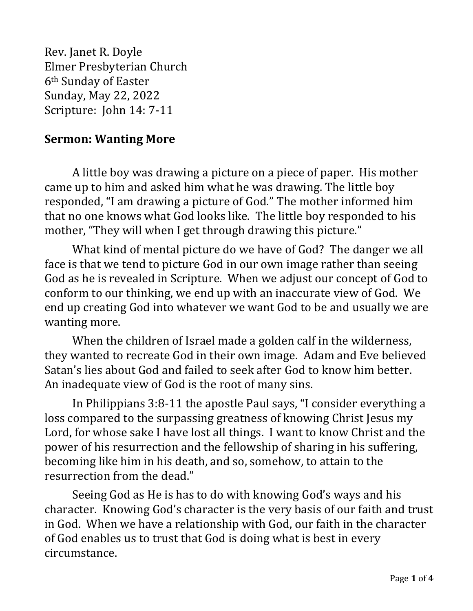Rev. Janet R. Doyle Elmer Presbyterian Church 6th Sunday of Easter Sunday, May 22, 2022 Scripture: John 14: 7-11

## **Sermon: Wanting More**

A little boy was drawing a picture on a piece of paper. His mother came up to him and asked him what he was drawing. The little boy responded, "I am drawing a picture of God." The mother informed him that no one knows what God looks like. The little boy responded to his mother, "They will when I get through drawing this picture."

What kind of mental picture do we have of God? The danger we all face is that we tend to picture God in our own image rather than seeing God as he is revealed in Scripture. When we adjust our concept of God to conform to our thinking, we end up with an inaccurate view of God. We end up creating God into whatever we want God to be and usually we are wanting more.

When the children of Israel made a golden calf in the wilderness, they wanted to recreate God in their own image. Adam and Eve believed Satan's lies about God and failed to seek after God to know him better. An inadequate view of God is the root of many sins.

In Philippians 3:8-11 the apostle Paul says, "I consider everything a loss compared to the surpassing greatness of knowing Christ Jesus my Lord, for whose sake I have lost all things. I want to know Christ and the power of his resurrection and the fellowship of sharing in his suffering, becoming like him in his death, and so, somehow, to attain to the resurrection from the dead."

Seeing God as He is has to do with knowing God's ways and his character. Knowing God's character is the very basis of our faith and trust in God. When we have a relationship with God, our faith in the character of God enables us to trust that God is doing what is best in every circumstance.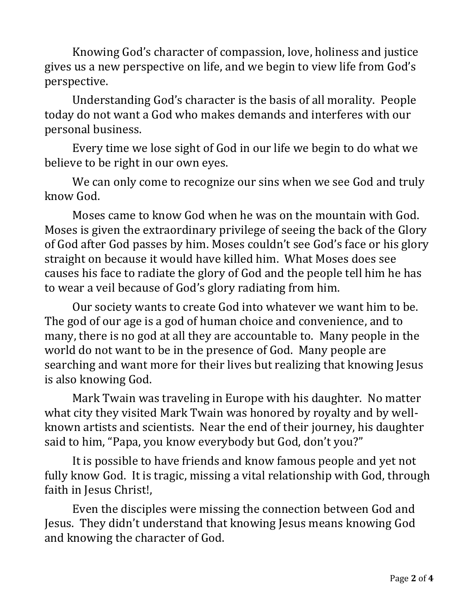Knowing God's character of compassion, love, holiness and justice gives us a new perspective on life, and we begin to view life from God's perspective.

Understanding God's character is the basis of all morality. People today do not want a God who makes demands and interferes with our personal business.

Every time we lose sight of God in our life we begin to do what we believe to be right in our own eyes.

We can only come to recognize our sins when we see God and truly know God.

Moses came to know God when he was on the mountain with God. Moses is given the extraordinary privilege of seeing the back of the Glory of God after God passes by him. Moses couldn't see God's face or his glory straight on because it would have killed him. What Moses does see causes his face to radiate the glory of God and the people tell him he has to wear a veil because of God's glory radiating from him.

Our society wants to create God into whatever we want him to be. The god of our age is a god of human choice and convenience, and to many, there is no god at all they are accountable to. Many people in the world do not want to be in the presence of God. Many people are searching and want more for their lives but realizing that knowing Jesus is also knowing God.

Mark Twain was traveling in Europe with his daughter. No matter what city they visited Mark Twain was honored by royalty and by wellknown artists and scientists. Near the end of their journey, his daughter said to him, "Papa, you know everybody but God, don't you?"

It is possible to have friends and know famous people and yet not fully know God. It is tragic, missing a vital relationship with God, through faith in Jesus Christ!,

Even the disciples were missing the connection between God and Jesus. They didn't understand that knowing Jesus means knowing God and knowing the character of God.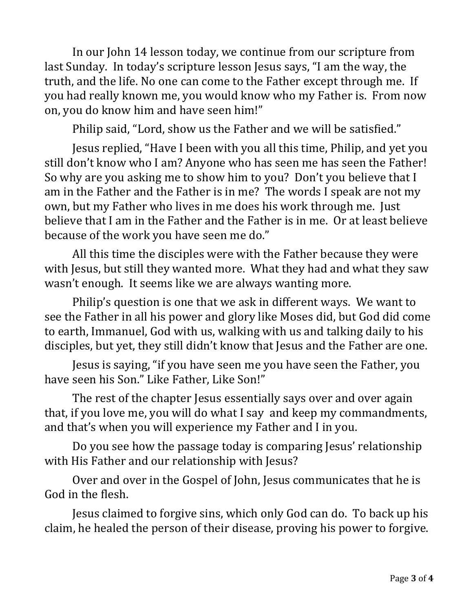In our John 14 lesson today, we continue from our scripture from last Sunday. In today's scripture lesson Jesus says, "I am the way, the truth, and the life. No one can come to the Father except through me. If you had really known me, you would know who my Father is. From now on, you do know him and have seen him!"

Philip said, "Lord, show us the Father and we will be satisfied."

Jesus replied, "Have I been with you all this time, Philip, and yet you still don't know who I am? Anyone who has seen me has seen the Father! So why are you asking me to show him to you? Don't you believe that I am in the Father and the Father is in me? The words I speak are not my own, but my Father who lives in me does his work through me. Just believe that I am in the Father and the Father is in me. Or at least believe because of the work you have seen me do."

All this time the disciples were with the Father because they were with Jesus, but still they wanted more. What they had and what they saw wasn't enough. It seems like we are always wanting more.

Philip's question is one that we ask in different ways. We want to see the Father in all his power and glory like Moses did, but God did come to earth, Immanuel, God with us, walking with us and talking daily to his disciples, but yet, they still didn't know that Jesus and the Father are one.

Jesus is saying, "if you have seen me you have seen the Father, you have seen his Son." Like Father, Like Son!"

The rest of the chapter Jesus essentially says over and over again that, if you love me, you will do what I say and keep my commandments, and that's when you will experience my Father and I in you.

Do you see how the passage today is comparing Jesus' relationship with His Father and our relationship with Jesus?

Over and over in the Gospel of John, Jesus communicates that he is God in the flesh.

Jesus claimed to forgive sins, which only God can do. To back up his claim, he healed the person of their disease, proving his power to forgive.